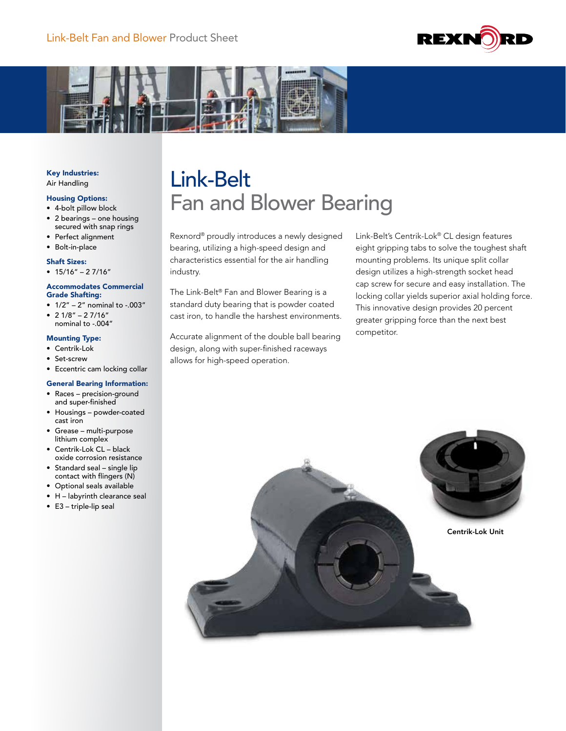



### Key Industries: Air Handling

## Housing Options:

- 4-bolt pillow block • 2 bearings – one housing secured with snap rings
- Perfect alignment
- Bolt-in-place

#### Shaft Sizes:

 $• 15/16" - 27/16"$ 

#### Accommodates Commercial Grade Shafting:

- $1/2" 2"$  nominal to -.003"
- $2 \frac{1}{8}$ "  $2 \frac{7}{16}$ " nominal to -.004"

## Mounting Type:

- Centrik-Lok
- Set-screw
- Eccentric cam locking collar

#### General Bearing Information:

- Races precision-ground and super-finished
- Housings powder-coated cast iron
- Grease multi-purpose lithium complex
- Centrik-Lok CL black oxide corrosion resistance
- Standard seal single lip contact with flingers (N)
- Optional seals available
- H labyrinth clearance seal
- E3 triple-lip seal

# Link-Belt Fan and Blower Bearing

Rexnord® proudly introduces a newly designed bearing, utilizing a high-speed design and characteristics essential for the air handling industry.

The Link-Belt® Fan and Blower Bearing is a standard duty bearing that is powder coated cast iron, to handle the harshest environments.

Accurate alignment of the double ball bearing design, along with super-finished raceways allows for high-speed operation.

Link-Belt's Centrik-Lok® CL design features eight gripping tabs to solve the toughest shaft mounting problems. Its unique split collar design utilizes a high-strength socket head cap screw for secure and easy installation. The locking collar yields superior axial holding force. This innovative design provides 20 percent greater gripping force than the next best competitor.